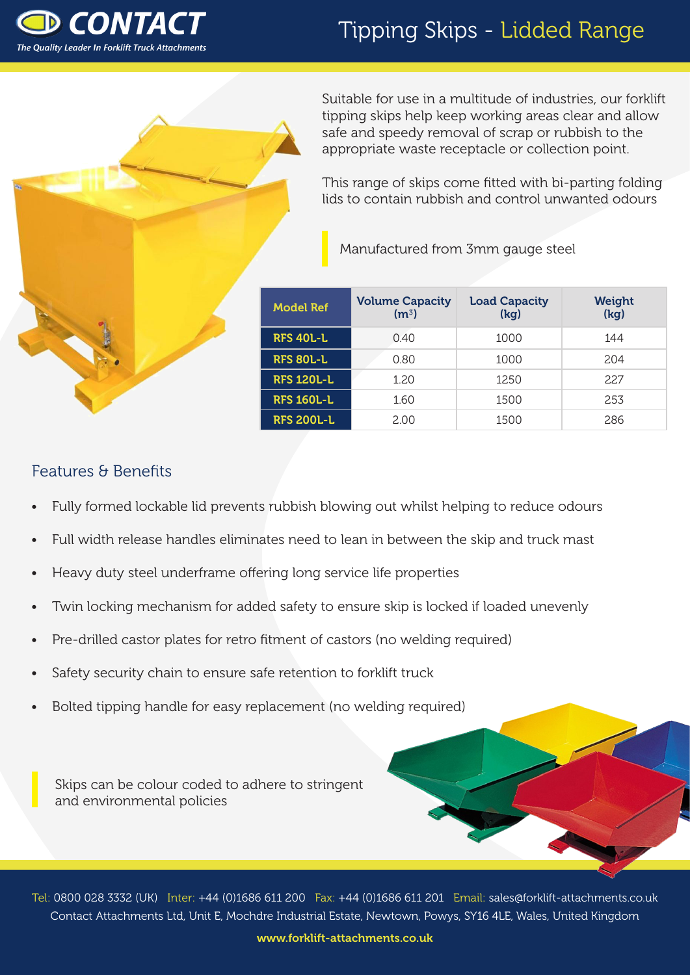

# Tipping Skips - Lidded Range



Suitable for use in a multitude of industries, our forklift tipping skips help keep working areas clear and allow safe and speedy removal of scrap or rubbish to the appropriate waste receptacle or collection point.

This range of skips come fitted with bi-parting folding lids to contain rubbish and control unwanted odours

Manufactured from 3mm gauge steel

| <b>Model Ref</b>  | <b>Volume Capacity</b><br>(m <sup>3</sup> ) | <b>Load Capacity</b><br>(kg) | <b>Weight</b><br>(kg) |
|-------------------|---------------------------------------------|------------------------------|-----------------------|
| <b>RFS 40L-L</b>  | 0.40                                        | 1000                         | 144                   |
| <b>RFS 80L-L</b>  | 0.80                                        | 1000                         | 204                   |
| <b>RFS 120L-L</b> | 1.20                                        | 12.50                        | 22.7                  |
| <b>RFS 160L-L</b> | 1.60                                        | 1500                         | 253                   |
| <b>RFS 200L-L</b> | 2.00                                        | 1500                         | 286                   |

### Features & Benefits

- Fully formed lockable lid prevents rubbish blowing out whilst helping to reduce odours
- Full width release handles eliminates need to lean in between the skip and truck mast
- Heavy duty steel underframe offering long service life properties
- Twin locking mechanism for added safety to ensure skip is locked if loaded unevenly
- Pre-drilled castor plates for retro fitment of castors (no welding required)
- Safety security chain to ensure safe retention to forklift truck
- Bolted tipping handle for easy replacement (no welding required)

Skips can be colour coded to adhere to stringent and environmental policies

Tel: 0800 028 3332 (UK) Inter: +44 (0)1686 611 200 Fax: +44 (0)1686 611 201 Email: sales@forklift-attachments.co.uk Contact Attachments Ltd, Unit E, Mochdre Industrial Estate, Newtown, Powys, SY16 4LE, Wales, United Kingdom

www.forklift-attachments.co.uk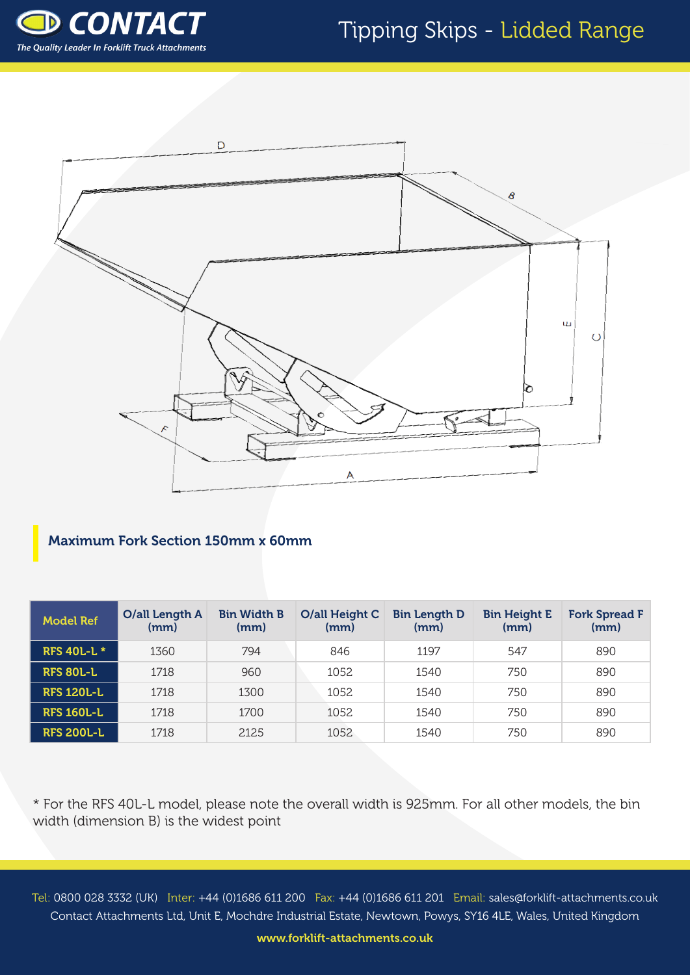## Tipping Skips - Lidded Range





#### Maximum Fork Section 150mm x 60mm

| <b>Model Ref</b>   | O/all Length A<br>(mm) | <b>Bin Width B</b><br>(mm) | O/all Height C<br>(mm) | <b>Bin Length D</b><br>(mm) | <b>Bin Height E</b><br>(mm) | <b>Fork Spread F</b><br>(mm) |
|--------------------|------------------------|----------------------------|------------------------|-----------------------------|-----------------------------|------------------------------|
| <b>RFS 40L-L *</b> | 1360                   | 794                        | 846                    | 1197                        | 547                         | 890                          |
| <b>RFS 80L-L</b>   | 1718                   | 960                        | 1052                   | 1540                        | 750                         | 890                          |
| <b>RFS 120L-L</b>  | 1718                   | 1300                       | 1052                   | 1540                        | 750                         | 890                          |
| <b>RFS 160L-L</b>  | 1718                   | 1700                       | 1052                   | 1540                        | 750                         | 890                          |
| <b>RFS 200L-L</b>  | 1718                   | 2125                       | 1052                   | 1540                        | 750                         | 890                          |

\* For the RFS 40L-L model, please note the overall width is 925mm. For all other models, the bin width (dimension B) is the widest point

Tel: 0800 028 3332 (UK) Inter: +44 (0)1686 611 200 Fax: +44 (0)1686 611 201 Email: sales@forklift-attachments.co.uk Contact Attachments Ltd, Unit E, Mochdre Industrial Estate, Newtown, Powys, SY16 4LE, Wales, United Kingdom

www.forklift-attachments.co.uk